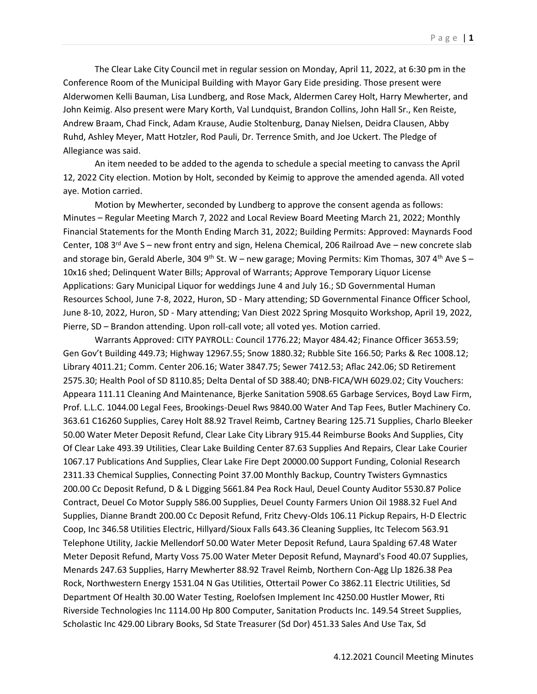The Clear Lake City Council met in regular session on Monday, April 11, 2022, at 6:30 pm in the Conference Room of the Municipal Building with Mayor Gary Eide presiding. Those present were Alderwomen Kelli Bauman, Lisa Lundberg, and Rose Mack, Aldermen Carey Holt, Harry Mewherter, and John Keimig. Also present were Mary Korth, Val Lundquist, Brandon Collins, John Hall Sr., Ken Reiste, Andrew Braam, Chad Finck, Adam Krause, Audie Stoltenburg, Danay Nielsen, Deidra Clausen, Abby Ruhd, Ashley Meyer, Matt Hotzler, Rod Pauli, Dr. Terrence Smith, and Joe Uckert. The Pledge of Allegiance was said.

An item needed to be added to the agenda to schedule a special meeting to canvass the April 12, 2022 City election. Motion by Holt, seconded by Keimig to approve the amended agenda. All voted aye. Motion carried.

Motion by Mewherter, seconded by Lundberg to approve the consent agenda as follows: Minutes – Regular Meeting March 7, 2022 and Local Review Board Meeting March 21, 2022; Monthly Financial Statements for the Month Ending March 31, 2022; Building Permits: Approved: Maynards Food Center, 108 3<sup>rd</sup> Ave S – new front entry and sign, Helena Chemical, 206 Railroad Ave – new concrete slab and storage bin, Gerald Aberle, 304 9<sup>th</sup> St. W – new garage; Moving Permits: Kim Thomas, 307 4<sup>th</sup> Ave S – 10x16 shed; Delinquent Water Bills; Approval of Warrants; Approve Temporary Liquor License Applications: Gary Municipal Liquor for weddings June 4 and July 16.; SD Governmental Human Resources School, June 7-8, 2022, Huron, SD - Mary attending; SD Governmental Finance Officer School, June 8-10, 2022, Huron, SD - Mary attending; Van Diest 2022 Spring Mosquito Workshop, April 19, 2022, Pierre, SD – Brandon attending. Upon roll-call vote; all voted yes. Motion carried.

Warrants Approved: CITY PAYROLL: Council 1776.22; Mayor 484.42; Finance Officer 3653.59; Gen Gov't Building 449.73; Highway 12967.55; Snow 1880.32; Rubble Site 166.50; Parks & Rec 1008.12; Library 4011.21; Comm. Center 206.16; Water 3847.75; Sewer 7412.53; Aflac 242.06; SD Retirement 2575.30; Health Pool of SD 8110.85; Delta Dental of SD 388.40; DNB-FICA/WH 6029.02; City Vouchers: Appeara 111.11 Cleaning And Maintenance, Bjerke Sanitation 5908.65 Garbage Services, Boyd Law Firm, Prof. L.L.C. 1044.00 Legal Fees, Brookings-Deuel Rws 9840.00 Water And Tap Fees, Butler Machinery Co. 363.61 C16260 Supplies, Carey Holt 88.92 Travel Reimb, Cartney Bearing 125.71 Supplies, Charlo Bleeker 50.00 Water Meter Deposit Refund, Clear Lake City Library 915.44 Reimburse Books And Supplies, City Of Clear Lake 493.39 Utilities, Clear Lake Building Center 87.63 Supplies And Repairs, Clear Lake Courier 1067.17 Publications And Supplies, Clear Lake Fire Dept 20000.00 Support Funding, Colonial Research 2311.33 Chemical Supplies, Connecting Point 37.00 Monthly Backup, Country Twisters Gymnastics 200.00 Cc Deposit Refund, D & L Digging 5661.84 Pea Rock Haul, Deuel County Auditor 5530.87 Police Contract, Deuel Co Motor Supply 586.00 Supplies, Deuel County Farmers Union Oil 1988.32 Fuel And Supplies, Dianne Brandt 200.00 Cc Deposit Refund, Fritz Chevy-Olds 106.11 Pickup Repairs, H-D Electric Coop, Inc 346.58 Utilities Electric, Hillyard/Sioux Falls 643.36 Cleaning Supplies, Itc Telecom 563.91 Telephone Utility, Jackie Mellendorf 50.00 Water Meter Deposit Refund, Laura Spalding 67.48 Water Meter Deposit Refund, Marty Voss 75.00 Water Meter Deposit Refund, Maynard's Food 40.07 Supplies, Menards 247.63 Supplies, Harry Mewherter 88.92 Travel Reimb, Northern Con-Agg Llp 1826.38 Pea Rock, Northwestern Energy 1531.04 N Gas Utilities, Ottertail Power Co 3862.11 Electric Utilities, Sd Department Of Health 30.00 Water Testing, Roelofsen Implement Inc 4250.00 Hustler Mower, Rti Riverside Technologies Inc 1114.00 Hp 800 Computer, Sanitation Products Inc. 149.54 Street Supplies, Scholastic Inc 429.00 Library Books, Sd State Treasurer (Sd Dor) 451.33 Sales And Use Tax, Sd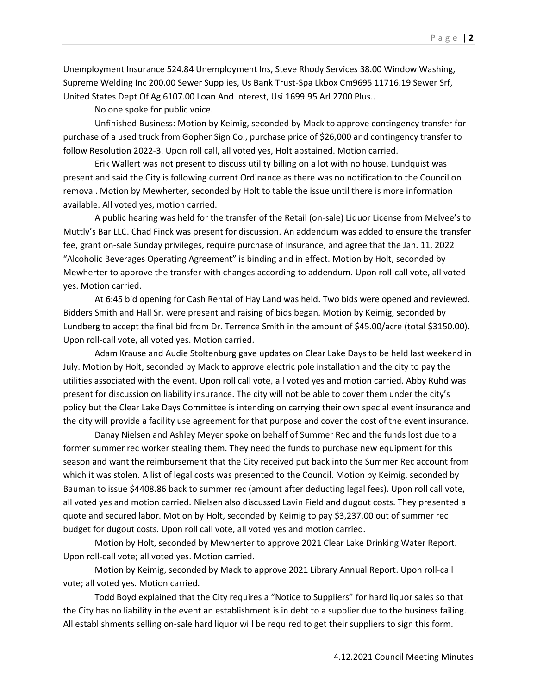Unemployment Insurance 524.84 Unemployment Ins, Steve Rhody Services 38.00 Window Washing, Supreme Welding Inc 200.00 Sewer Supplies, Us Bank Trust-Spa Lkbox Cm9695 11716.19 Sewer Srf, United States Dept Of Ag 6107.00 Loan And Interest, Usi 1699.95 Arl 2700 Plus..

No one spoke for public voice.

Unfinished Business: Motion by Keimig, seconded by Mack to approve contingency transfer for purchase of a used truck from Gopher Sign Co., purchase price of \$26,000 and contingency transfer to follow Resolution 2022-3. Upon roll call, all voted yes, Holt abstained. Motion carried.

Erik Wallert was not present to discuss utility billing on a lot with no house. Lundquist was present and said the City is following current Ordinance as there was no notification to the Council on removal. Motion by Mewherter, seconded by Holt to table the issue until there is more information available. All voted yes, motion carried.

A public hearing was held for the transfer of the Retail (on-sale) Liquor License from Melvee's to Muttly's Bar LLC. Chad Finck was present for discussion. An addendum was added to ensure the transfer fee, grant on-sale Sunday privileges, require purchase of insurance, and agree that the Jan. 11, 2022 "Alcoholic Beverages Operating Agreement" is binding and in effect. Motion by Holt, seconded by Mewherter to approve the transfer with changes according to addendum. Upon roll-call vote, all voted yes. Motion carried.

At 6:45 bid opening for Cash Rental of Hay Land was held. Two bids were opened and reviewed. Bidders Smith and Hall Sr. were present and raising of bids began. Motion by Keimig, seconded by Lundberg to accept the final bid from Dr. Terrence Smith in the amount of \$45.00/acre (total \$3150.00). Upon roll-call vote, all voted yes. Motion carried.

Adam Krause and Audie Stoltenburg gave updates on Clear Lake Days to be held last weekend in July. Motion by Holt, seconded by Mack to approve electric pole installation and the city to pay the utilities associated with the event. Upon roll call vote, all voted yes and motion carried. Abby Ruhd was present for discussion on liability insurance. The city will not be able to cover them under the city's policy but the Clear Lake Days Committee is intending on carrying their own special event insurance and the city will provide a facility use agreement for that purpose and cover the cost of the event insurance.

Danay Nielsen and Ashley Meyer spoke on behalf of Summer Rec and the funds lost due to a former summer rec worker stealing them. They need the funds to purchase new equipment for this season and want the reimbursement that the City received put back into the Summer Rec account from which it was stolen. A list of legal costs was presented to the Council. Motion by Keimig, seconded by Bauman to issue \$4408.86 back to summer rec (amount after deducting legal fees). Upon roll call vote, all voted yes and motion carried. Nielsen also discussed Lavin Field and dugout costs. They presented a quote and secured labor. Motion by Holt, seconded by Keimig to pay \$3,237.00 out of summer rec budget for dugout costs. Upon roll call vote, all voted yes and motion carried.

Motion by Holt, seconded by Mewherter to approve 2021 Clear Lake Drinking Water Report. Upon roll-call vote; all voted yes. Motion carried.

Motion by Keimig, seconded by Mack to approve 2021 Library Annual Report. Upon roll-call vote; all voted yes. Motion carried.

Todd Boyd explained that the City requires a "Notice to Suppliers" for hard liquor sales so that the City has no liability in the event an establishment is in debt to a supplier due to the business failing. All establishments selling on-sale hard liquor will be required to get their suppliers to sign this form.